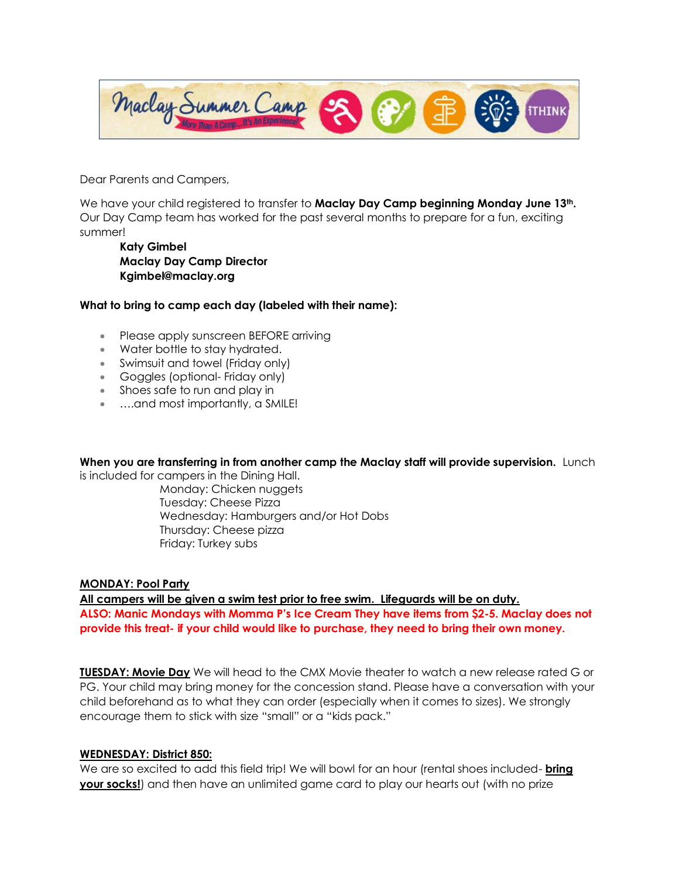Maclay Summer Camp **THINK** 

Dear Parents and Campers,

We have your child registered to transfer to **Maclay Day Camp beginning Monday June 13th.**  Our Day Camp team has worked for the past several months to prepare for a fun, exciting summer!

**Katy Gimbel Maclay Day Camp Director Kgimbel@maclay.org**

### **What to bring to camp each day (labeled with their name):**

- Please apply sunscreen BEFORE arriving
- Water bottle to stay hydrated.
- Swimsuit and towel (Friday only)
- Goggles (optional- Friday only)
- Shoes safe to run and play in
- ….and most importantly, a SMILE!

**When you are transferring in from another camp the Maclay staff will provide supervision.** Lunch

is included for campers in the Dining Hall.

Monday: Chicken nuggets Tuesday: Cheese Pizza Wednesday: Hamburgers and/or Hot Dobs Thursday: Cheese pizza Friday: Turkey subs

#### **MONDAY: Pool Party**

**All campers will be given a swim test prior to free swim. Lifeguards will be on duty. ALSO: Manic Mondays with Momma P's Ice Cream They have items from \$2-5. Maclay does not provide this treat- if your child would like to purchase, they need to bring their own money.** 

**TUESDAY: Movie Day** We will head to the CMX Movie theater to watch a new release rated G or PG. Your child may bring money for the concession stand. Please have a conversation with your child beforehand as to what they can order (especially when it comes to sizes). We strongly encourage them to stick with size "small" or a "kids pack."

#### **WEDNESDAY: District 850:**

We are so excited to add this field trip! We will bowl for an hour (rental shoes included- **bring your socks!**) and then have an unlimited game card to play our hearts out (with no prize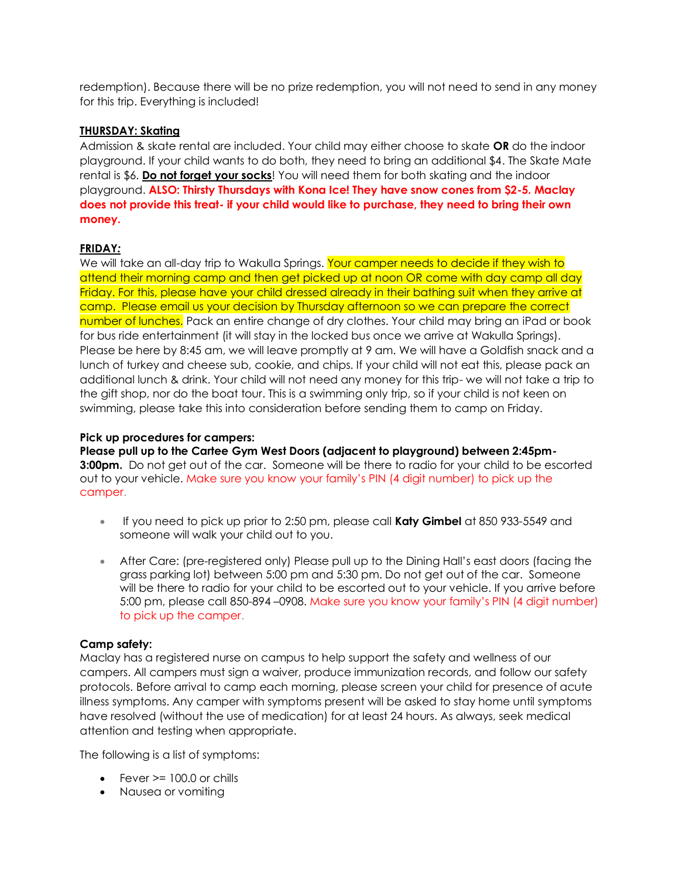redemption). Because there will be no prize redemption, you will not need to send in any money for this trip. Everything is included!

# **THURSDAY: Skating**

Admission & skate rental are included. Your child may either choose to skate **OR** do the indoor playground. If your child wants to do both, they need to bring an additional \$4. The Skate Mate rental is \$6. **Do not forget your socks**! You will need them for both skating and the indoor playground. **ALSO: Thirsty Thursdays with Kona Ice! They have snow cones from \$2-5. Maclay does not provide this treat- if your child would like to purchase, they need to bring their own money.** 

# **FRIDAY***:*

We will take an all-day trip to Wakulla Springs. Your camper needs to decide if they wish to attend their morning camp and then get picked up at noon OR come with day camp all day Friday. For this, please have your child dressed already in their bathing suit when they arrive at camp. Please email us your decision by Thursday afternoon so we can prepare the correct number of lunches. Pack an entire change of dry clothes. Your child may bring an iPad or book for bus ride entertainment (it will stay in the locked bus once we arrive at Wakulla Springs). Please be here by 8:45 am, we will leave promptly at 9 am. We will have a Goldfish snack and a lunch of turkey and cheese sub, cookie, and chips. If your child will not eat this, please pack an additional lunch & drink. Your child will not need any money for this trip- we will not take a trip to the gift shop, nor do the boat tour. This is a swimming only trip, so if your child is not keen on swimming, please take this into consideration before sending them to camp on Friday.

### **Pick up procedures for campers:**

**Please pull up to the Cartee Gym West Doors (adjacent to playground) between 2:45pm-3:00pm.** Do not get out of the car. Someone will be there to radio for your child to be escorted out to your vehicle. Make sure you know your family's PIN (4 digit number) to pick up the camper.

- If you need to pick up prior to 2:50 pm, please call **Katy Gimbel** at 850 933-5549 and someone will walk your child out to you.
- After Care: (pre-registered only) Please pull up to the Dining Hall's east doors (facing the grass parking lot) between 5:00 pm and 5:30 pm. Do not get out of the car. Someone will be there to radio for your child to be escorted out to your vehicle. If you arrive before 5:00 pm, please call 850-894 –0908. Make sure you know your family's PIN (4 digit number) to pick up the camper.

## **Camp safety:**

Maclay has a registered nurse on campus to help support the safety and wellness of our campers. All campers must sign a waiver, produce immunization records, and follow our safety protocols. Before arrival to camp each morning, please screen your child for presence of acute illness symptoms. Any camper with symptoms present will be asked to stay home until symptoms have resolved (without the use of medication) for at least 24 hours. As always, seek medical attention and testing when appropriate.

The following is a list of symptoms:

- $\bullet$  Fever  $\geq$  100.0 or chills
- Nausea or vomiting